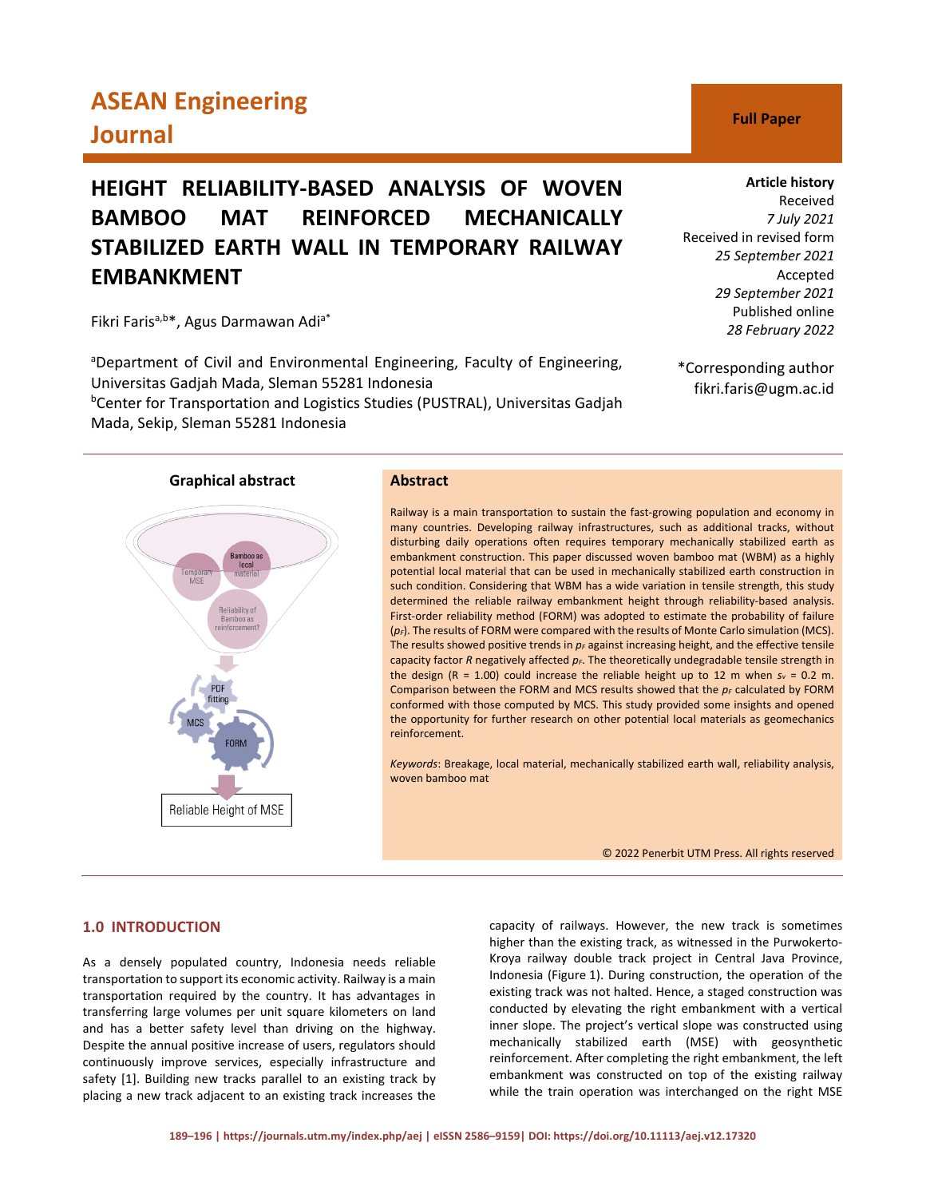# **ASEAN Engineering Journal C Full Paper**

## **HEIGHT RELIABILITY-BASED ANALYSIS OF WOVEN BAMBOO MAT REINFORCED MECHANICALLY STABILIZED EARTH WALL IN TEMPORARY RAILWAY EMBANKMENT**

Fikri Faris<sup>a,b\*</sup>, Agus Darmawan Adi<sup>a\*</sup>

<sup>a</sup>Department of Civil and Environmental Engineering, Faculty of Engineering, Universitas Gadjah Mada, Sleman 55281 Indonesia <sup>b</sup>Center for Transportation and Logistics Studies (PUSTRAL), Universitas Gadjah Mada, Sekip, Sleman 55281 Indonesia

**Graphical abstract Abstract**

# Bamboo a local Tempora<br>MSE Reliability of<br>Bamboo as inforcement Reliable Height of MSE

Railway is a main transportation to sustain the fast-growing population and economy in many countries. Developing railway infrastructures, such as additional tracks, without disturbing daily operations often requires temporary mechanically stabilized earth as embankment construction. This paper discussed woven bamboo mat (WBM) as a highly potential local material that can be used in mechanically stabilized earth construction in such condition. Considering that WBM has a wide variation in tensile strength, this study determined the reliable railway embankment height through reliability-based analysis. First-order reliability method (FORM) was adopted to estimate the probability of failure ( $p_F$ ). The results of FORM were compared with the results of Monte Carlo simulation (MCS). The results showed positive trends in  $p_F$  against increasing height, and the effective tensile capacity factor *R* negatively affected  $p_F$ . The theoretically undegradable tensile strength in the design (R = 1.00) could increase the reliable height up to 12 m when  $s_v = 0.2$  m. Comparison between the FORM and MCS results showed that the  $p_F$  calculated by FORM conformed with those computed by MCS. This study provided some insights and opened the opportunity for further research on other potential local materials as geomechanics reinforcement.

*Keywords*: Breakage, local material, mechanically stabilized earth wall, reliability analysis, woven bamboo mat

© 2022 Penerbit UTM Press. All rights reserved

## **1.0 INTRODUCTION**

As a densely populated country, Indonesia needs reliable transportation to support its economic activity. Railway is a main transportation required by the country. It has advantages in transferring large volumes per unit square kilometers on land and has a better safety level than driving on the highway. Despite the annual positive increase of users, regulators should continuously improve services, especially infrastructure and safety [1]. Building new tracks parallel to an existing track by placing a new track adjacent to an existing track increases the

capacity of railways. However, the new track is sometimes higher than the existing track, as witnessed in the Purwokerto-Kroya railway double track project in Central Java Province, Indonesia (Figure 1). During construction, the operation of the existing track was not halted. Hence, a staged construction was conducted by elevating the right embankment with a vertical inner slope. The project's vertical slope was constructed using mechanically stabilized earth (MSE) with geosynthetic reinforcement. After completing the right embankment, the left embankment was constructed on top of the existing railway while the train operation was interchanged on the right MSE

#### **Article history**

Received *7 July 2021* Received in revised form *25 September 2021* Accepted *29 September 2021* Published online *28 February 2022*

\*Corresponding author fikri.faris@ugm.ac.id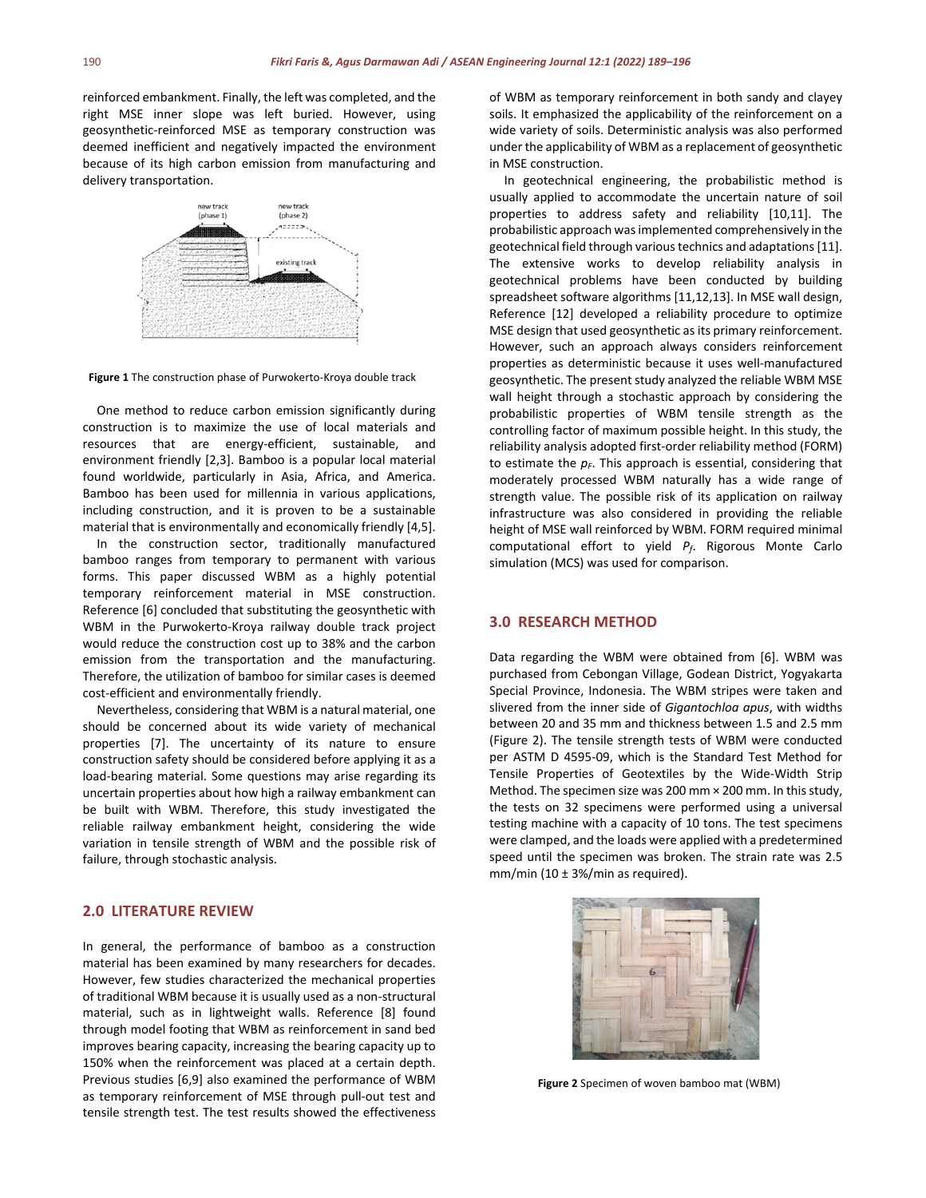reinforced embankment. Finally, the left was completed, and the right MSE inner slope was left buried. However, using geosynthetic-reinforced MSE as temporary construction was deemed inefficient and negatively impacted the environment because of its high carbon emission from manufacturing and delivery transportation.



**Figure 1** The construction phase of Purwokerto-Kroya double track

One method to reduce carbon emission significantly during construction is to maximize the use of local materials and resources that are energy-efficient, sustainable, and environment friendly [2,3]. Bamboo is a popular local material found worldwide, particularly in Asia, Africa, and America. Bamboo has been used for millennia in various applications, including construction, and it is proven to be a sustainable material that is environmentally and economically friendly [4,5].

In the construction sector, traditionally manufactured bamboo ranges from temporary to permanent with various forms. This paper discussed WBM as a highly potential temporary reinforcement material in MSE construction. Reference [6] concluded that substituting the geosynthetic with WBM in the Purwokerto-Kroya railway double track project would reduce the construction cost up to 38% and the carbon emission from the transportation and the manufacturing. Therefore, the utilization of bamboo for similar cases is deemed cost-efficient and environmentally friendly.

Nevertheless, considering that WBM is a natural material, one should be concerned about its wide variety of mechanical properties [7]. The uncertainty of its nature to ensure construction safety should be considered before applying it as a load-bearing material. Some questions may arise regarding its uncertain properties about how high a railway embankment can be built with WBM. Therefore, this study investigated the reliable railway embankment height, considering the wide variation in tensile strength of WBM and the possible risk of failure, through stochastic analysis.

### **2.0 LITERATURE REVIEW**

In general, the performance of bamboo as a construction material has been examined by many researchers for decades. However, few studies characterized the mechanical properties of traditional WBM because it is usually used as a non-structural material, such as in lightweight walls. Reference [8] found through model footing that WBM as reinforcement in sand bed improves bearing capacity, increasing the bearing capacity up to 150% when the reinforcement was placed at a certain depth. Previous studies [6,9] also examined the performance of WBM as temporary reinforcement of MSE through pull-out test and tensile strength test. The test results showed the effectiveness of WBM as temporary reinforcement in both sandy and clayey soils. It emphasized the applicability of the reinforcement on a wide variety of soils. Deterministic analysis was also performed under the applicability of WBM as a replacement of geosynthetic in MSE construction.

In geotechnical engineering, the probabilistic method is usually applied to accommodate the uncertain nature of soil properties to address safety and reliability [10,11]. The probabilistic approach was implemented comprehensively in the geotechnical field through various technics and adaptations [11]. The extensive works to develop reliability analysis in geotechnical problems have been conducted by building spreadsheet software algorithms [11,12,13]. In MSE wall design, Reference [12] developed a reliability procedure to optimize MSE design that used geosynthetic as its primary reinforcement. However, such an approach always considers reinforcement properties as deterministic because it uses well-manufactured geosynthetic. The present study analyzed the reliable WBM MSE wall height through a stochastic approach by considering the probabilistic properties of WBM tensile strength as the controlling factor of maximum possible height. In this study, the reliability analysis adopted first-order reliability method (FORM) to estimate the  $p_F$ . This approach is essential, considering that moderately processed WBM naturally has a wide range of strength value. The possible risk of its application on railway infrastructure was also considered in providing the reliable height of MSE wall reinforced by WBM. FORM required minimal computational effort to yield *Pf*. Rigorous Monte Carlo simulation (MCS) was used for comparison.

#### **3.0 RESEARCH METHOD**

Data regarding the WBM were obtained from [6]. WBM was purchased from Cebongan Village, Godean District, Yogyakarta Special Province, Indonesia. The WBM stripes were taken and slivered from the inner side of *Gigantochloa apus*, with widths between 20 and 35 mm and thickness between 1.5 and 2.5 mm (Figure 2). The tensile strength tests of WBM were conducted per ASTM D 4595-09, which is the Standard Test Method for Tensile Properties of Geotextiles by the Wide-Width Strip Method. The specimen size was 200 mm × 200 mm. In this study, the tests on 32 specimens were performed using a universal testing machine with a capacity of 10 tons. The test specimens were clamped, and the loads were applied with a predetermined speed until the specimen was broken. The strain rate was 2.5 mm/min (10  $\pm$  3%/min as required).



**Figure 2** Specimen of woven bamboo mat (WBM)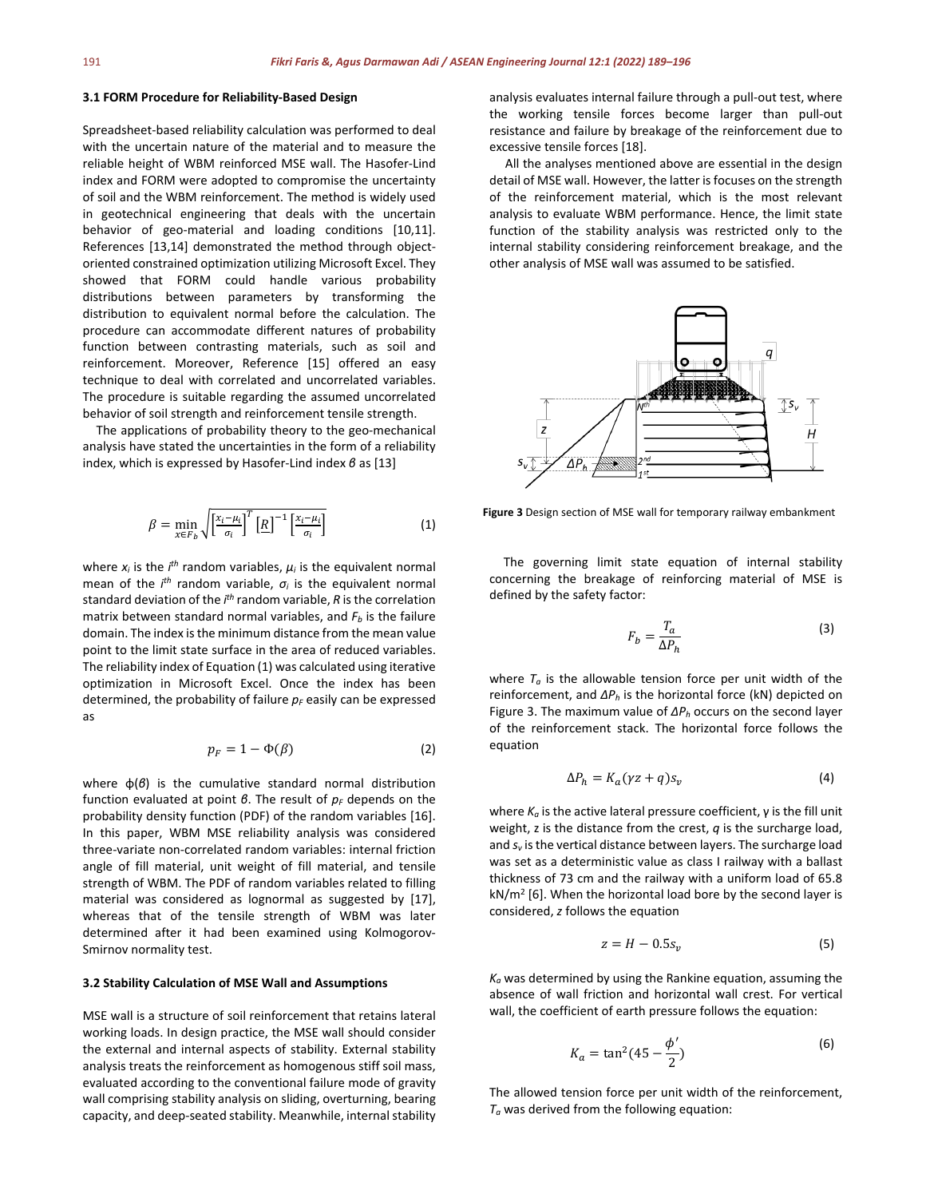#### **3.1 FORM Procedure for Reliability-Based Design**

Spreadsheet-based reliability calculation was performed to deal with the uncertain nature of the material and to measure the reliable height of WBM reinforced MSE wall. The Hasofer-Lind index and FORM were adopted to compromise the uncertainty of soil and the WBM reinforcement. The method is widely used in geotechnical engineering that deals with the uncertain behavior of geo-material and loading conditions [10,11]. References [13,14] demonstrated the method through objectoriented constrained optimization utilizing Microsoft Excel. They showed that FORM could handle various probability distributions between parameters by transforming the distribution to equivalent normal before the calculation. The procedure can accommodate different natures of probability function between contrasting materials, such as soil and reinforcement. Moreover, Reference [15] offered an easy technique to deal with correlated and uncorrelated variables. The procedure is suitable regarding the assumed uncorrelated behavior of soil strength and reinforcement tensile strength.

The applications of probability theory to the geo-mechanical analysis have stated the uncertainties in the form of a reliability index, which is expressed by Hasofer-Lind index *β* as [13]

$$
\beta = \min_{x \in F_b} \sqrt{\left[\frac{x_i - \mu_i}{\sigma_i}\right]^T \left[R\right]^{-1} \left[\frac{x_i - \mu_i}{\sigma_i}\right]}
$$
(1)

where  $x_i$  is the  $i<sup>th</sup>$  random variables,  $\mu_i$  is the equivalent normal mean of the *i th* random variable, *σ<sup>i</sup>* is the equivalent normal standard deviation of the *i th* random variable, *R* is the correlation matrix between standard normal variables, and  $F_b$  is the failure domain. The index is the minimum distance from the mean value point to the limit state surface in the area of reduced variables. The reliability index of Equation (1) was calculated using iterative optimization in Microsoft Excel. Once the index has been determined, the probability of failure  $p_F$  easily can be expressed as

$$
p_F = 1 - \Phi(\beta) \tag{2}
$$

where φ(*β*) is the cumulative standard normal distribution function evaluated at point *β*. The result of  $p<sub>F</sub>$  depends on the probability density function (PDF) of the random variables [16]. In this paper, WBM MSE reliability analysis was considered three-variate non-correlated random variables: internal friction angle of fill material, unit weight of fill material, and tensile strength of WBM. The PDF of random variables related to filling material was considered as lognormal as suggested by [17], whereas that of the tensile strength of WBM was later determined after it had been examined using Kolmogorov-Smirnov normality test.

#### **3.2 Stability Calculation of MSE Wall and Assumptions**

MSE wall is a structure of soil reinforcement that retains lateral working loads. In design practice, the MSE wall should consider the external and internal aspects of stability. External stability analysis treats the reinforcement as homogenous stiff soil mass, evaluated according to the conventional failure mode of gravity wall comprising stability analysis on sliding, overturning, bearing capacity, and deep-seated stability. Meanwhile, internal stability analysis evaluates internal failure through a pull-out test, where the working tensile forces become larger than pull-out resistance and failure by breakage of the reinforcement due to excessive tensile forces [18].

All the analyses mentioned above are essential in the design detail of MSE wall. However, the latter is focuses on the strength of the reinforcement material, which is the most relevant analysis to evaluate WBM performance. Hence, the limit state function of the stability analysis was restricted only to the internal stability considering reinforcement breakage, and the other analysis of MSE wall was assumed to be satisfied.



**Figure 3** Design section of MSE wall for temporary railway embankment

The governing limit state equation of internal stability concerning the breakage of reinforcing material of MSE is defined by the safety factor:

$$
F_b = \frac{T_a}{\Delta P_h} \tag{3}
$$

where  $T_a$  is the allowable tension force per unit width of the reinforcement, and *ΔP<sup>h</sup>* is the horizontal force (kN) depicted on Figure 3. The maximum value of *ΔP<sup>h</sup>* occurs on the second layer of the reinforcement stack. The horizontal force follows the equation

$$
\Delta P_h = K_a (\gamma z + q) s_v \tag{4}
$$

where *Ka* is the active lateral pressure coefficient, γ is the fill unit weight, z is the distance from the crest, *q* is the surcharge load, and  $s_v$  is the vertical distance between layers. The surcharge load was set as a deterministic value as class I railway with a ballast thickness of 73 cm and the railway with a uniform load of 65.8  $kN/m^2$  [6]. When the horizontal load bore by the second layer is considered, *z* follows the equation

$$
z = H - 0.5s_v \tag{5}
$$

*Ka* was determined by using the Rankine equation, assuming the absence of wall friction and horizontal wall crest. For vertical wall, the coefficient of earth pressure follows the equation:

$$
K_a = \tan^2(45 - \frac{\phi'}{2})
$$
 (6)

The allowed tension force per unit width of the reinforcement, *Ta* was derived from the following equation: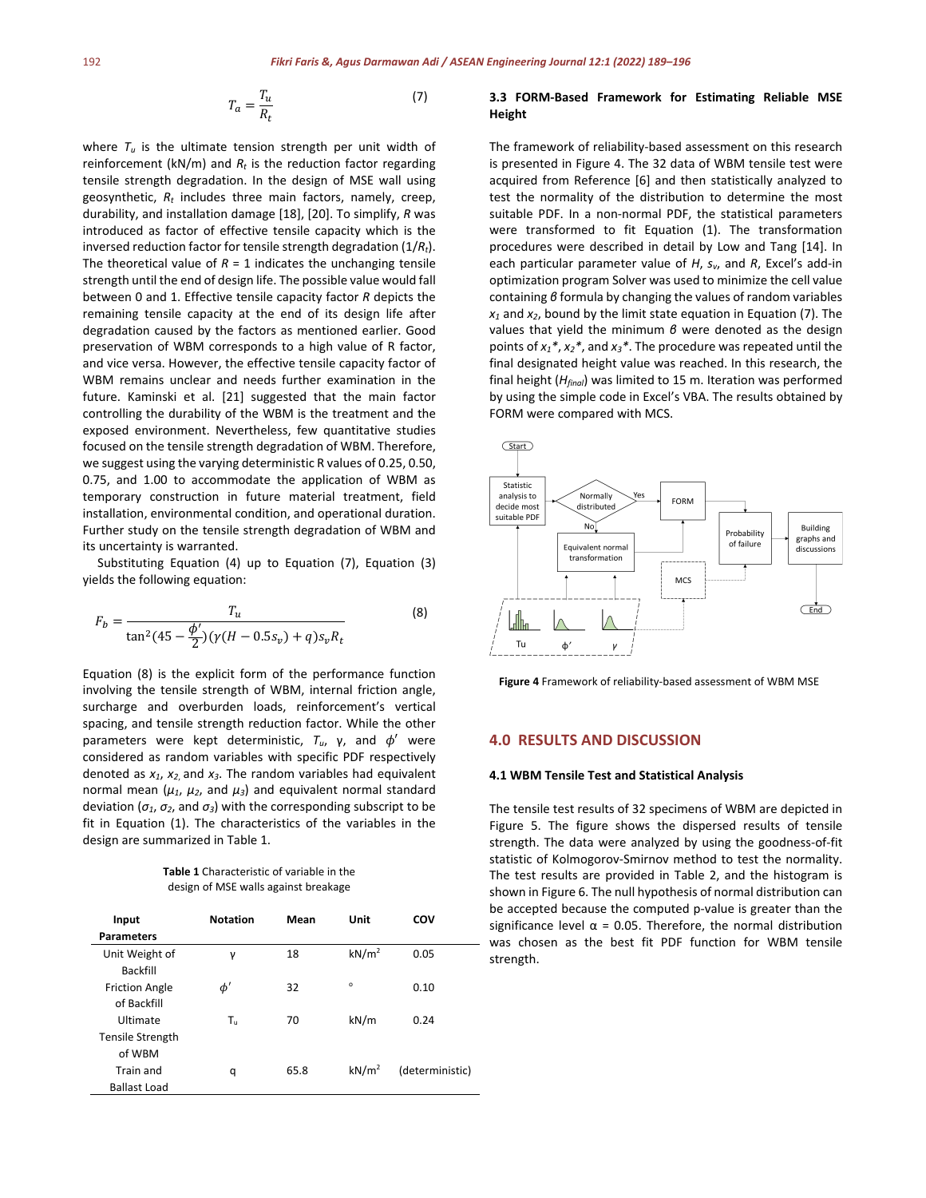$$
T_a = \frac{T_u}{R_t} \tag{7}
$$

where  $T_u$  is the ultimate tension strength per unit width of reinforcement ( $kN/m$ ) and  $R_t$  is the reduction factor regarding tensile strength degradation. In the design of MSE wall using geosynthetic, *Rt* includes three main factors, namely, creep, durability, and installation damage [18], [20]. To simplify, *R* was introduced as factor of effective tensile capacity which is the inversed reduction factor for tensile strength degradation (1/*Rt*). The theoretical value of  $R = 1$  indicates the unchanging tensile strength until the end of design life. The possible value would fall between 0 and 1. Effective tensile capacity factor *R* depicts the remaining tensile capacity at the end of its design life after degradation caused by the factors as mentioned earlier. Good preservation of WBM corresponds to a high value of R factor, and vice versa. However, the effective tensile capacity factor of WBM remains unclear and needs further examination in the future. Kaminski et al. [21] suggested that the main factor controlling the durability of the WBM is the treatment and the exposed environment. Nevertheless, few quantitative studies focused on the tensile strength degradation of WBM. Therefore, we suggest using the varying deterministic R values of 0.25, 0.50, 0.75, and 1.00 to accommodate the application of WBM as temporary construction in future material treatment, field installation, environmental condition, and operational duration. Further study on the tensile strength degradation of WBM and its uncertainty is warranted.

Substituting Equation (4) up to Equation (7), Equation (3) yields the following equation:

$$
F_b = \frac{T_u}{\tan^2(45 - \frac{\phi'}{2})(\gamma(H - 0.5s_v) + q)s_v R_t}
$$
(8)

Equation (8) is the explicit form of the performance function involving the tensile strength of WBM, internal friction angle, surcharge and overburden loads, reinforcement's vertical spacing, and tensile strength reduction factor. While the other parameters were kept deterministic,  $T_u$ , γ, and  $φ'$  were considered as random variables with specific PDF respectively denoted as *x1*, *x2*, and *x3*. The random variables had equivalent normal mean ( $μ_1$ ,  $μ_2$ , and  $μ_3$ ) and equivalent normal standard deviation ( $\sigma_1$ ,  $\sigma_2$ , and  $\sigma_3$ ) with the corresponding subscript to be fit in Equation (1). The characteristics of the variables in the design are summarized in Table 1.

**Table 1** Characteristic of variable in the design of MSE walls against breakage

| Input                                | <b>Notation</b> | Mean | Unit              | COV             |
|--------------------------------------|-----------------|------|-------------------|-----------------|
| <b>Parameters</b>                    |                 |      |                   |                 |
| Unit Weight of<br><b>Backfill</b>    | γ               | 18   | kN/m <sup>2</sup> | 0.05            |
| <b>Friction Angle</b><br>of Backfill | $\phi'$         | 32   | $\circ$           | 0.10            |
| Ultimate                             | Tu.             | 70   | kN/m              | 0.24            |
| Tensile Strength<br>of WBM           |                 |      |                   |                 |
| Train and<br><b>Ballast Load</b>     | q               | 65.8 | kN/m <sup>2</sup> | (deterministic) |
|                                      |                 |      |                   |                 |

#### **3.3 FORM-Based Framework for Estimating Reliable MSE Height**

The framework of reliability-based assessment on this research is presented in Figure 4. The 32 data of WBM tensile test were acquired from Reference [6] and then statistically analyzed to test the normality of the distribution to determine the most suitable PDF. In a non-normal PDF, the statistical parameters were transformed to fit Equation (1). The transformation procedures were described in detail by Low and Tang [14]. In each particular parameter value of *H*, *sv*, and *R*, Excel's add-in optimization program Solver was used to minimize the cell value containing *β* formula by changing the values of random variables *x1* and *x2*, bound by the limit state equation in Equation (7). The values that yield the minimum *β* were denoted as the design points of *x1\**, *x2\**, and *x3\**. The procedure was repeated until the final designated height value was reached. In this research, the final height (*Hfinal*) was limited to 15 m. Iteration was performed by using the simple code in Excel's VBA. The results obtained by FORM were compared with MCS.



**Figure 4** Framework of reliability-based assessment of WBM MSE

### **4.0 RESULTS AND DISCUSSION**

#### **4.1 WBM Tensile Test and Statistical Analysis**

The tensile test results of 32 specimens of WBM are depicted in Figure 5. The figure shows the dispersed results of tensile strength. The data were analyzed by using the goodness-of-fit statistic of Kolmogorov-Smirnov method to test the normality. The test results are provided in Table 2, and the histogram is shown in Figure 6. The null hypothesis of normal distribution can be accepted because the computed p-value is greater than the significance level  $\alpha$  = 0.05. Therefore, the normal distribution was chosen as the best fit PDF function for WBM tensile strength.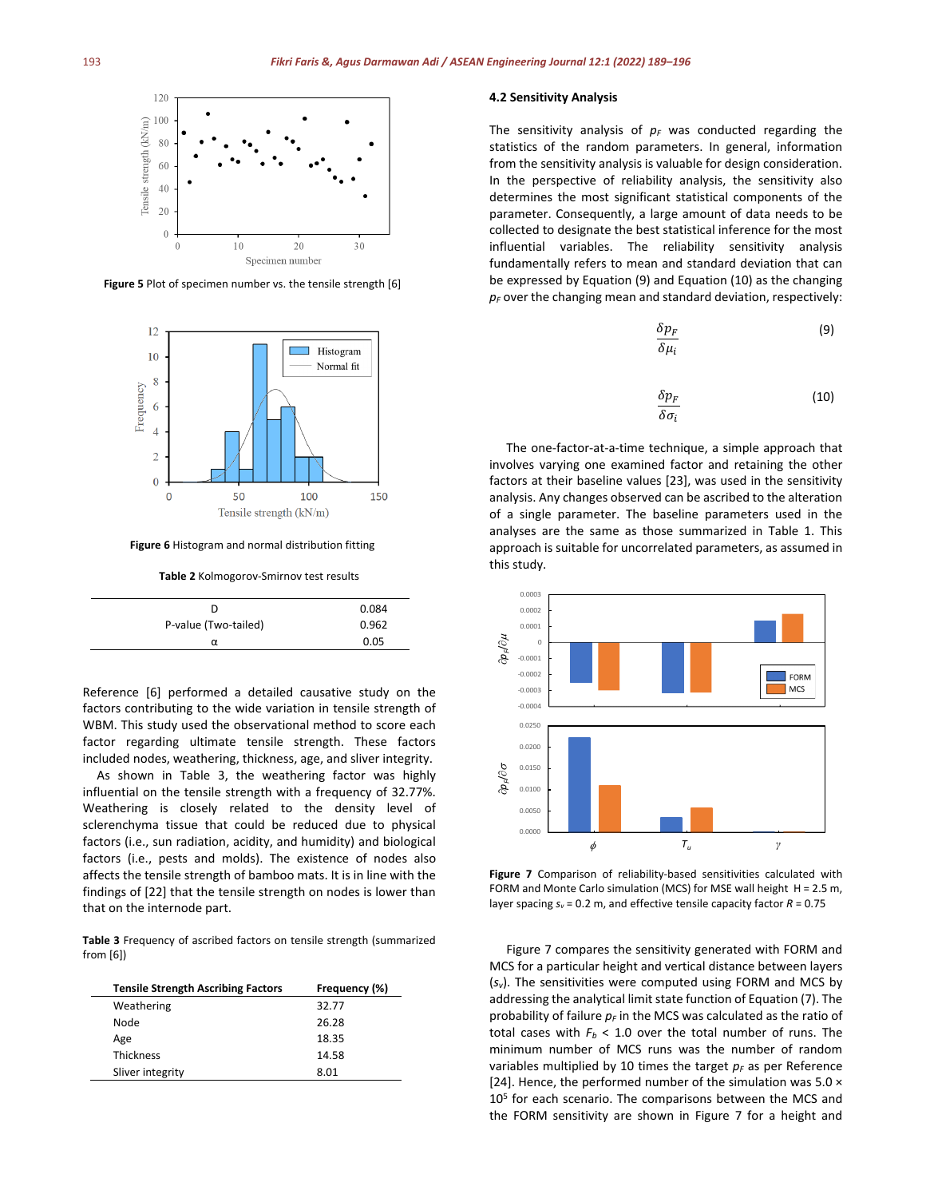

**Figure 5** Plot of specimen number vs. the tensile strength [6]



**Figure 6** Histogram and normal distribution fitting

**Table 2** Kolmogorov-Smirnov test results

| D                    | 0.084 |
|----------------------|-------|
| P-value (Two-tailed) | 0.962 |
| α                    | 0.05  |

Reference [6] performed a detailed causative study on the factors contributing to the wide variation in tensile strength of WBM. This study used the observational method to score each factor regarding ultimate tensile strength. These factors included nodes, weathering, thickness, age, and sliver integrity.

As shown in Table 3, the weathering factor was highly influential on the tensile strength with a frequency of 32.77%. Weathering is closely related to the density level of sclerenchyma tissue that could be reduced due to physical factors (i.e., sun radiation, acidity, and humidity) and biological factors (i.e., pests and molds). The existence of nodes also affects the tensile strength of bamboo mats. It is in line with the findings of [22] that the tensile strength on nodes is lower than that on the internode part.

**Table 3** Frequency of ascribed factors on tensile strength (summarized from [6])

| <b>Tensile Strength Ascribing Factors</b> | Frequency (%) |  |
|-------------------------------------------|---------------|--|
| Weathering                                | 32.77         |  |
| Node                                      | 26.28         |  |
| Age                                       | 18.35         |  |
| <b>Thickness</b>                          | 14.58         |  |
| Sliver integrity                          | 8.01          |  |

#### **4.2 Sensitivity Analysis**

The sensitivity analysis of  $p_F$  was conducted regarding the statistics of the random parameters. In general, information from the sensitivity analysis is valuable for design consideration. In the perspective of reliability analysis, the sensitivity also determines the most significant statistical components of the parameter. Consequently, a large amount of data needs to be collected to designate the best statistical inference for the most influential variables. The reliability sensitivity analysis fundamentally refers to mean and standard deviation that can be expressed by Equation (9) and Equation (10) as the changing  $p_F$  over the changing mean and standard deviation, respectively:

$$
\frac{\delta p_F}{\delta \mu_i} \tag{9}
$$

$$
\frac{\delta p_F}{\delta \sigma_i} \tag{10}
$$

The one-factor-at-a-time technique, a simple approach that involves varying one examined factor and retaining the other factors at their baseline values [23], was used in the sensitivity analysis. Any changes observed can be ascribed to the alteration of a single parameter. The baseline parameters used in the analyses are the same as those summarized in Table 1. This approach is suitable for uncorrelated parameters, as assumed in this study.



**Figure 7** Comparison of reliability-based sensitivities calculated with FORM and Monte Carlo simulation (MCS) for MSE wall height H = 2.5 m, layer spacing *sv* = 0.2 m, and effective tensile capacity factor *R* = 0.75

Figure 7 compares the sensitivity generated with FORM and MCS for a particular height and vertical distance between layers (*sv*). The sensitivities were computed using FORM and MCS by addressing the analytical limit state function of Equation (7). The probability of failure  $p_F$  in the MCS was calculated as the ratio of total cases with  $F_b < 1.0$  over the total number of runs. The minimum number of MCS runs was the number of random variables multiplied by 10 times the target  $p_F$  as per Reference [24]. Hence, the performed number of the simulation was  $5.0 \times$ 10<sup>5</sup> for each scenario. The comparisons between the MCS and the FORM sensitivity are shown in Figure 7 for a height and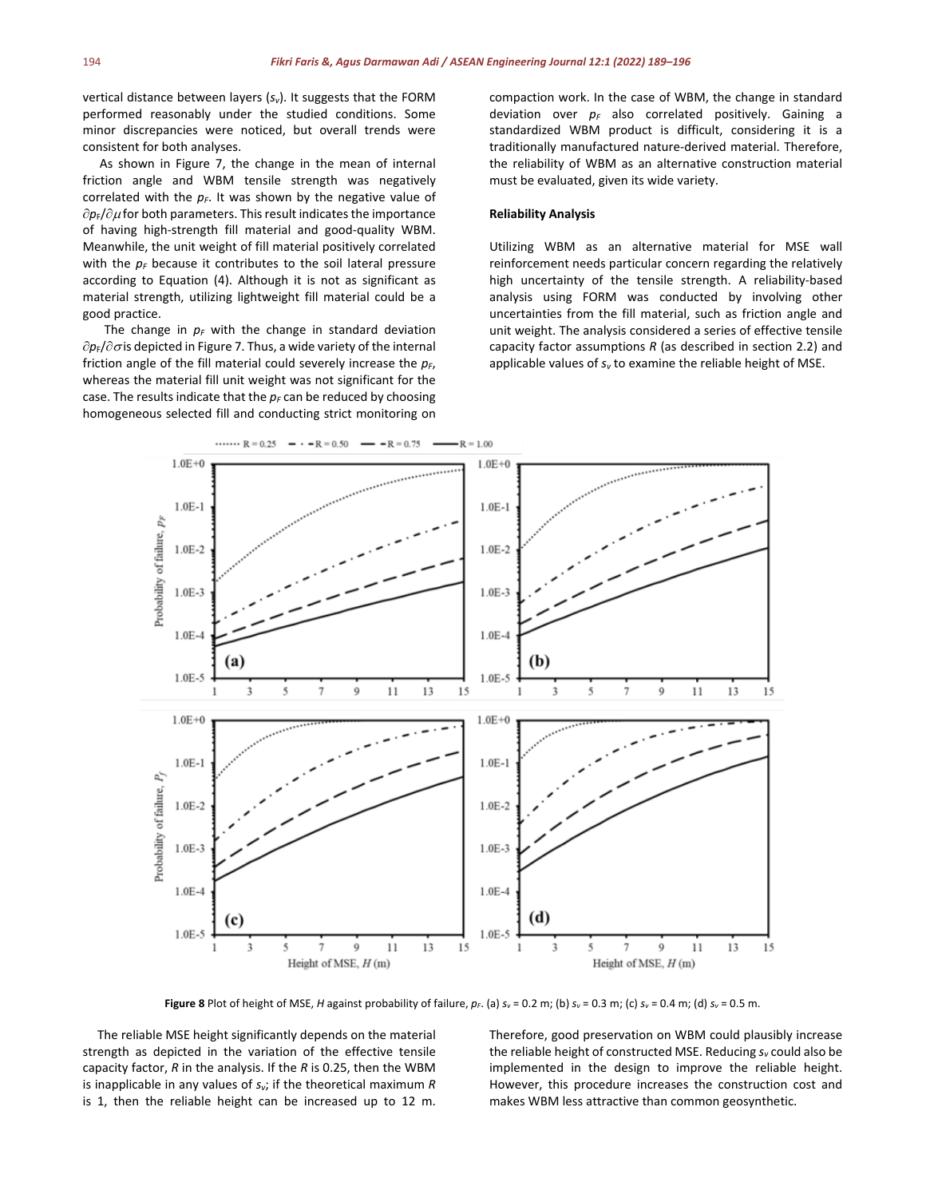vertical distance between layers (*sv*). It suggests that the FORM performed reasonably under the studied conditions. Some minor discrepancies were noticed, but overall trends were consistent for both analyses.

As shown in Figure 7, the change in the mean of internal friction angle and WBM tensile strength was negatively correlated with the  $p_F$ . It was shown by the negative value of ∂*p*F/∂µ for both parameters. This result indicates the importance of having high-strength fill material and good-quality WBM. Meanwhile, the unit weight of fill material positively correlated with the  $p_F$  because it contributes to the soil lateral pressure according to Equation (4). Although it is not as significant as material strength, utilizing lightweight fill material could be a good practice.

The change in  $p_F$  with the change in standard deviation ∂*p*F/∂<sup>σ</sup> is depicted in Figure 7. Thus, a wide variety of the internal friction angle of the fill material could severely increase the  $p_F$ , whereas the material fill unit weight was not significant for the case. The results indicate that the  $p_F$  can be reduced by choosing homogeneous selected fill and conducting strict monitoring on compaction work. In the case of WBM, the change in standard deviation over  $p_F$  also correlated positively. Gaining a standardized WBM product is difficult, considering it is a traditionally manufactured nature-derived material. Therefore, the reliability of WBM as an alternative construction material must be evaluated, given its wide variety.

#### **Reliability Analysis**

Utilizing WBM as an alternative material for MSE wall reinforcement needs particular concern regarding the relatively high uncertainty of the tensile strength. A reliability-based analysis using FORM was conducted by involving other uncertainties from the fill material, such as friction angle and unit weight. The analysis considered a series of effective tensile capacity factor assumptions *R* (as described in section 2.2) and applicable values of *sv* to examine the reliable height of MSE.



**Figure 8** Plot of height of MSE, *H* against probability of failure,  $p_F$ . (a)  $s_v = 0.2$  m; (b)  $s_v = 0.3$  m; (c)  $s_v = 0.4$  m; (d)  $s_v = 0.5$  m.

The reliable MSE height significantly depends on the material strength as depicted in the variation of the effective tensile capacity factor, *R* in the analysis. If the *R* is 0.25, then the WBM is inapplicable in any values of *sv*; if the theoretical maximum *R* is 1, then the reliable height can be increased up to 12 m. Therefore, good preservation on WBM could plausibly increase the reliable height of constructed MSE. Reducing *sv* could also be implemented in the design to improve the reliable height. However, this procedure increases the construction cost and makes WBM less attractive than common geosynthetic.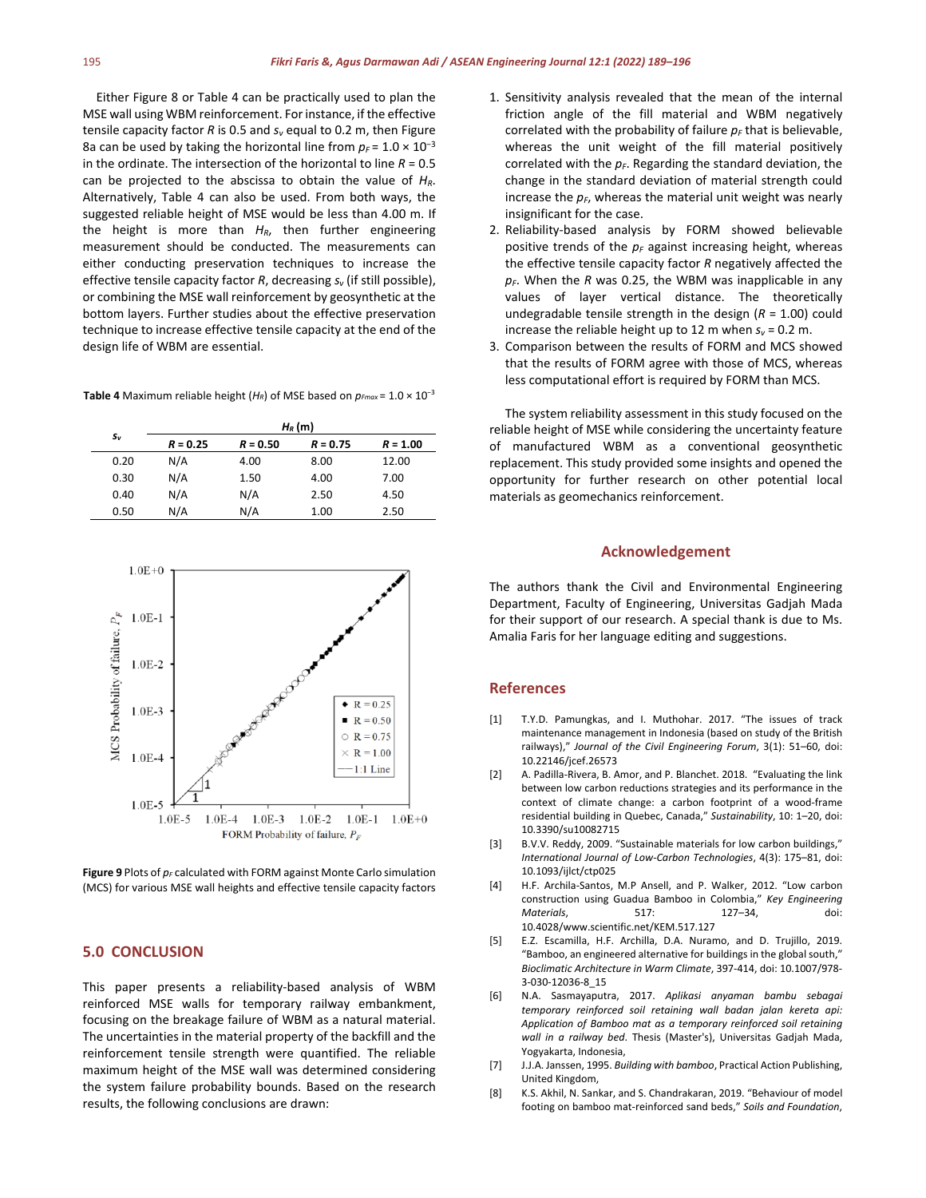Either Figure 8 or Table 4 can be practically used to plan the MSE wall using WBM reinforcement. For instance, if the effective tensile capacity factor *R* is 0.5 and *sv* equal to 0.2 m, then Figure 8a can be used by taking the horizontal line from  $p_F = 1.0 \times 10^{-3}$ in the ordinate. The intersection of the horizontal to line  $R = 0.5$ can be projected to the abscissa to obtain the value of *HR*. Alternatively, Table 4 can also be used. From both ways, the suggested reliable height of MSE would be less than 4.00 m. If the height is more than *HR*, then further engineering measurement should be conducted. The measurements can either conducting preservation techniques to increase the effective tensile capacity factor  $R$ , decreasing  $s<sub>v</sub>$  (if still possible), or combining the MSE wall reinforcement by geosynthetic at the bottom layers. Further studies about the effective preservation technique to increase effective tensile capacity at the end of the design life of WBM are essential.

| Table 4 Maximum reliable height ( $H_R$ ) of MSE based on $p_{Fmax}$ = 1.0 $\times$ 10 <sup>-3</sup> |  |  |
|------------------------------------------------------------------------------------------------------|--|--|
|------------------------------------------------------------------------------------------------------|--|--|

| Sν   | $H_R(m)$   |            |            |            |  |
|------|------------|------------|------------|------------|--|
|      | $R = 0.25$ | $R = 0.50$ | $R = 0.75$ | $R = 1.00$ |  |
| 0.20 | N/A        | 4.00       | 8.00       | 12.00      |  |
| 0.30 | N/A        | 1.50       | 4.00       | 7.00       |  |
| 0.40 | N/A        | N/A        | 2.50       | 4.50       |  |
| 0.50 | N/A        | N/A        | 1.00       | 2.50       |  |



Figure 9 Plots of  $p_F$  calculated with FORM against Monte Carlo simulation (MCS) for various MSE wall heights and effective tensile capacity factors

#### **5.0 CONCLUSION**

This paper presents a reliability-based analysis of WBM reinforced MSE walls for temporary railway embankment, focusing on the breakage failure of WBM as a natural material. The uncertainties in the material property of the backfill and the reinforcement tensile strength were quantified. The reliable maximum height of the MSE wall was determined considering the system failure probability bounds. Based on the research results, the following conclusions are drawn:

- 1. Sensitivity analysis revealed that the mean of the internal friction angle of the fill material and WBM negatively correlated with the probability of failure  $p_F$  that is believable, whereas the unit weight of the fill material positively correlated with the  $p_F$ . Regarding the standard deviation, the change in the standard deviation of material strength could increase the  $p_F$ , whereas the material unit weight was nearly insignificant for the case.
- 2. Reliability-based analysis by FORM showed believable positive trends of the  $p<sub>F</sub>$  against increasing height, whereas the effective tensile capacity factor *R* negatively affected the  $p_F$ . When the *R* was 0.25, the WBM was inapplicable in any values of layer vertical distance. The theoretically undegradable tensile strength in the design (*R* = 1.00) could increase the reliable height up to 12 m when  $s_v = 0.2$  m.
- 3. Comparison between the results of FORM and MCS showed that the results of FORM agree with those of MCS, whereas less computational effort is required by FORM than MCS.

The system reliability assessment in this study focused on the reliable height of MSE while considering the uncertainty feature of manufactured WBM as a conventional geosynthetic replacement. This study provided some insights and opened the opportunity for further research on other potential local materials as geomechanics reinforcement.

#### **Acknowledgement**

The authors thank the Civil and Environmental Engineering Department, Faculty of Engineering, Universitas Gadjah Mada for their support of our research. A special thank is due to Ms. Amalia Faris for her language editing and suggestions.

#### **References**

- [1] T.Y.D. Pamungkas, and I. Muthohar. 2017. "The issues of track maintenance management in Indonesia (based on study of the British railways)," *Journal of the Civil Engineering Forum*, 3(1): 51–60, doi: 10.22146/jcef.26573
- [2] A. Padilla-Rivera, B. Amor, and P. Blanchet. 2018. "Evaluating the link between low carbon reductions strategies and its performance in the context of climate change: a carbon footprint of a wood-frame residential building in Quebec, Canada," *Sustainability*, 10: 1–20, doi: 10.3390/su10082715
- [3] B.V.V. Reddy, 2009. "Sustainable materials for low carbon buildings," *International Journal of Low-Carbon Technologies*, 4(3): 175–81, doi: 10.1093/ijlct/ctp025
- [4] H.F. Archila-Santos, M.P Ansell, and P. Walker, 2012. "Low carbon construction using Guadua Bamboo in Colombia," *Key Engineering Materials*, 517: 127–34, doi: 10.4028/www.scientific.net/KEM.517.127
- [5] E.Z. Escamilla, H.F. Archilla, D.A. Nuramo, and D. Trujillo, 2019. "Bamboo, an engineered alternative for buildings in the global south," *Bioclimatic Architecture in Warm Climate*, 397-414, doi: 10.1007/978- 3-030-12036-8\_15
- [6] N.A. Sasmayaputra, 2017. *Aplikasi anyaman bambu sebagai temporary reinforced soil retaining wall badan jalan kereta api: Application of Bamboo mat as a temporary reinforced soil retaining wall in a railway bed*. Thesis (Master's), Universitas Gadjah Mada, Yogyakarta, Indonesia,
- [7] J.J.A. Janssen, 1995. *Building with bamboo*, Practical Action Publishing, United Kingdom,
- [8] K.S. Akhil, N. Sankar, and S. Chandrakaran, 2019. "Behaviour of model footing on bamboo mat-reinforced sand beds," *Soils and Foundation*,